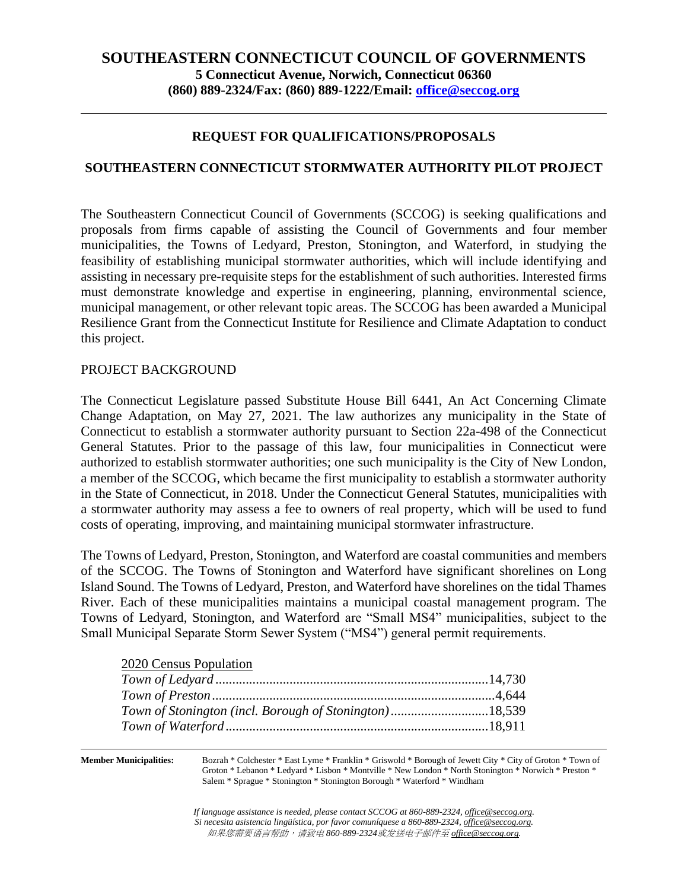# **SOUTHEASTERN CONNECTICUT COUNCIL OF GOVERNMENTS 5 Connecticut Avenue, Norwich, Connecticut 06360 (860) 889-2324/Fax: (860) 889-1222/Email: [office@seccog.org](mailto:seccog@snet.net)**

### **REQUEST FOR QUALIFICATIONS/PROPOSALS**

#### **SOUTHEASTERN CONNECTICUT STORMWATER AUTHORITY PILOT PROJECT**

The Southeastern Connecticut Council of Governments (SCCOG) is seeking qualifications and proposals from firms capable of assisting the Council of Governments and four member municipalities, the Towns of Ledyard, Preston, Stonington, and Waterford, in studying the feasibility of establishing municipal stormwater authorities, which will include identifying and assisting in necessary pre-requisite steps for the establishment of such authorities. Interested firms must demonstrate knowledge and expertise in engineering, planning, environmental science, municipal management, or other relevant topic areas. The SCCOG has been awarded a Municipal Resilience Grant from the Connecticut Institute for Resilience and Climate Adaptation to conduct this project.

#### PROJECT BACKGROUND

The Connecticut Legislature passed Substitute House Bill 6441, An Act Concerning Climate Change Adaptation, on May 27, 2021. The law authorizes any municipality in the State of Connecticut to establish a stormwater authority pursuant to Section 22a-498 of the Connecticut General Statutes. Prior to the passage of this law, four municipalities in Connecticut were authorized to establish stormwater authorities; one such municipality is the City of New London, a member of the SCCOG, which became the first municipality to establish a stormwater authority in the State of Connecticut, in 2018. Under the Connecticut General Statutes, municipalities with a stormwater authority may assess a fee to owners of real property, which will be used to fund costs of operating, improving, and maintaining municipal stormwater infrastructure.

The Towns of Ledyard, Preston, Stonington, and Waterford are coastal communities and members of the SCCOG. The Towns of Stonington and Waterford have significant shorelines on Long Island Sound. The Towns of Ledyard, Preston, and Waterford have shorelines on the tidal Thames River. Each of these municipalities maintains a municipal coastal management program. The Towns of Ledyard, Stonington, and Waterford are "Small MS4" municipalities, subject to the Small Municipal Separate Storm Sewer System ("MS4") general permit requirements.

#### 2020 Census Population

| Town of Stonington (incl. Borough of Stonington)18,539 |  |
|--------------------------------------------------------|--|
|                                                        |  |

**Member Municipalities:** Bozrah \* Colchester \* East Lyme \* Franklin \* Griswold \* Borough of Jewett City \* City of Groton \* Town of Groton \* Lebanon \* Ledyard \* Lisbon \* Montville \* New London \* North Stonington \* Norwich \* Preston \* Salem \* Sprague \* Stonington \* Stonington Borough \* Waterford \* Windham

> *If language assistance is needed, please contact SCCOG at 860-889-2324, office@seccog.org. Si necesita asistencia lingüística, por favor comuníquese a 860-889-2324, office@seccog.org.* 如果您需要语言帮助,请致电 *860-889-2324*或发送电子邮件至 *office@seccog.org.*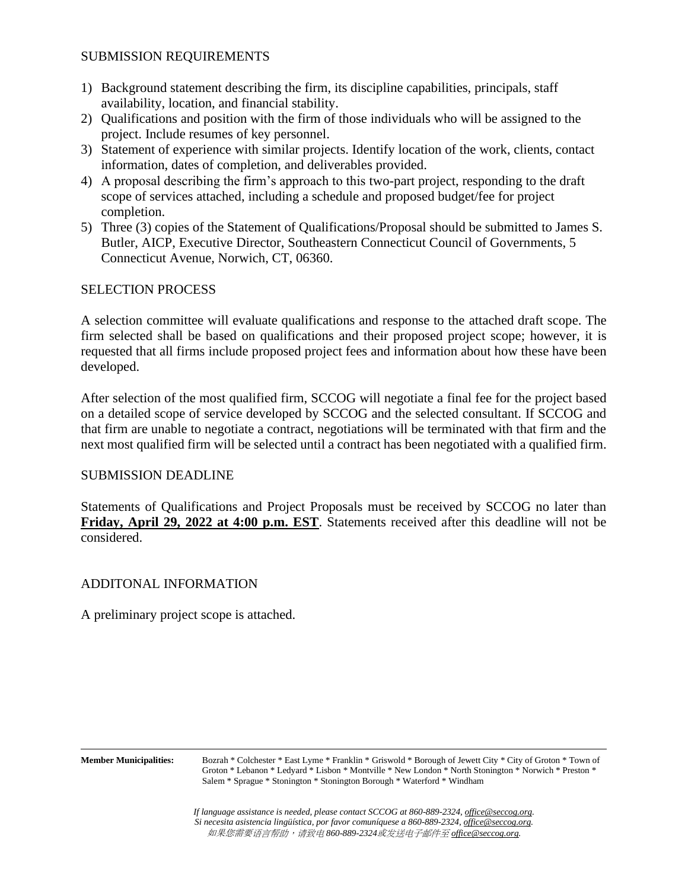#### SUBMISSION REQUIREMENTS

- 1) Background statement describing the firm, its discipline capabilities, principals, staff availability, location, and financial stability.
- 2) Qualifications and position with the firm of those individuals who will be assigned to the project. Include resumes of key personnel.
- 3) Statement of experience with similar projects. Identify location of the work, clients, contact information, dates of completion, and deliverables provided.
- 4) A proposal describing the firm's approach to this two-part project, responding to the draft scope of services attached, including a schedule and proposed budget/fee for project completion.
- 5) Three (3) copies of the Statement of Qualifications/Proposal should be submitted to James S. Butler, AICP, Executive Director, Southeastern Connecticut Council of Governments, 5 Connecticut Avenue, Norwich, CT, 06360.

#### SELECTION PROCESS

A selection committee will evaluate qualifications and response to the attached draft scope. The firm selected shall be based on qualifications and their proposed project scope; however, it is requested that all firms include proposed project fees and information about how these have been developed.

After selection of the most qualified firm, SCCOG will negotiate a final fee for the project based on a detailed scope of service developed by SCCOG and the selected consultant. If SCCOG and that firm are unable to negotiate a contract, negotiations will be terminated with that firm and the next most qualified firm will be selected until a contract has been negotiated with a qualified firm.

#### SUBMISSION DEADLINE

Statements of Qualifications and Project Proposals must be received by SCCOG no later than **Friday, April 29, 2022 at 4:00 p.m. EST**. Statements received after this deadline will not be considered.

#### ADDITONAL INFORMATION

A preliminary project scope is attached.

**Member Municipalities:** Bozrah \* Colchester \* East Lyme \* Franklin \* Griswold \* Borough of Jewett City \* City of Groton \* Town of Groton \* Lebanon \* Ledyard \* Lisbon \* Montville \* New London \* North Stonington \* Norwich \* Preston \* Salem \* Sprague \* Stonington \* Stonington Borough \* Waterford \* Windham

> *If language assistance is needed, please contact SCCOG at 860-889-2324, office@seccog.org. Si necesita asistencia lingüística, por favor comuníquese a 860-889-2324, office@seccog.org.* 如果您需要语言帮助,请致电 *860-889-2324*或发送电子邮件至 *office@seccog.org.*